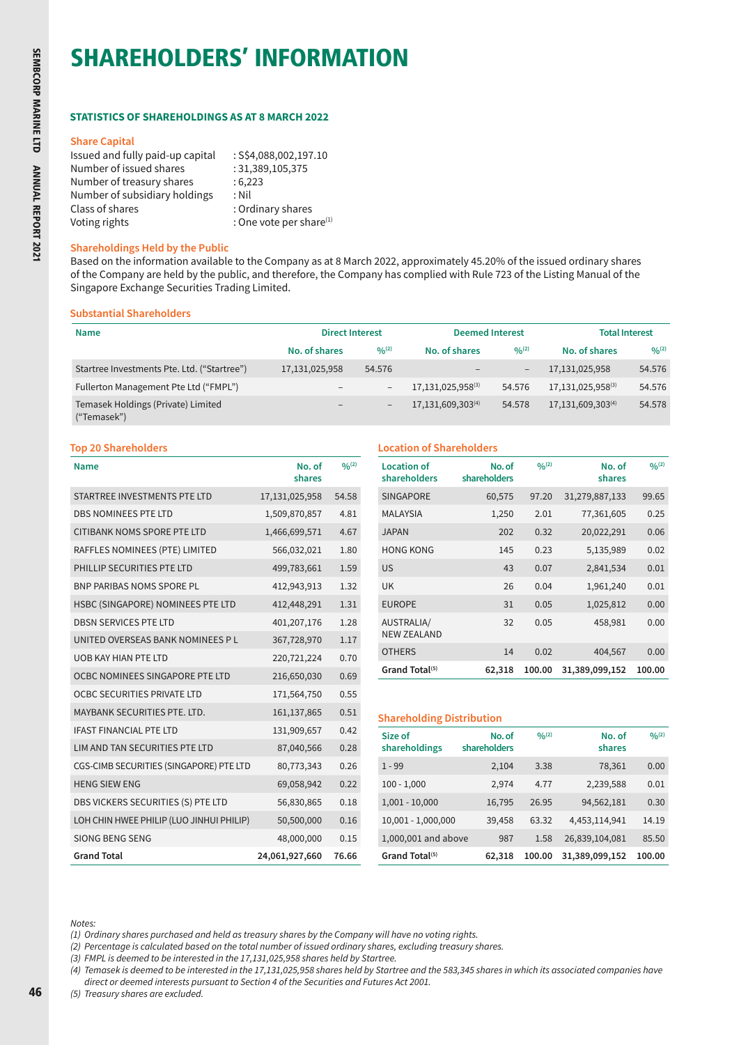# SHAREHOLDERS' INFORMATION

# **STATISTICS OF SHAREHOLDINGS AS AT 8 MARCH 2022**

#### **Share Capital**

| Issued and fully paid-up capital | : S\$4,088,002,197.10      |
|----------------------------------|----------------------------|
| Number of issued shares          | : 31,389,105,375           |
| Number of treasury shares        | :6,223                     |
| Number of subsidiary holdings    | : Nil                      |
| Class of shares                  | : Ordinary shares          |
| Voting rights                    | : One vote per share $(1)$ |

#### **Shareholdings Held by the Public**

Based on the information available to the Company as at 8 March 2022, approximately 45.20% of the issued ordinary shares of the Company are held by the public, and therefore, the Company has complied with Rule 723 of the Listing Manual of the Singapore Exchange Securities Trading Limited.

#### **Substantial Shareholders**

| <b>Name</b>                                       | <b>Direct Interest</b>       |                          | <b>Deemed Interest</b> |             | <b>Total Interest</b> |             |
|---------------------------------------------------|------------------------------|--------------------------|------------------------|-------------|-----------------------|-------------|
|                                                   | No. of shares                | $0/0^{(2)}$              | No. of shares          | $0/0^{(2)}$ | No. of shares         | $0/0^{(2)}$ |
| Startree Investments Pte. Ltd. ("Startree")       | 17,131,025,958               | 54.576                   |                        | $-$         | 17,131,025,958        | 54.576      |
| Fullerton Management Pte Ltd ("FMPL")             | $\qquad \qquad -$            | $\overline{\phantom{a}}$ | 17, 131, 025, 958(3)   | 54.576      | 17,131,025,958(3)     | 54.576      |
| Temasek Holdings (Private) Limited<br>("Temasek") | $\qquad \qquad \blacksquare$ | $\overline{\phantom{a}}$ | 17, 131, 609, 303(4)   | 54.578      | 17,131,609,303(4)     | 54.578      |

#### **Top 20 Shareholders Location of Shareholders**

| <b>Name</b>                              | No. of<br>shares | 0/(2) |
|------------------------------------------|------------------|-------|
| STARTREE INVESTMENTS PTE LTD             | 17,131,025,958   | 54.58 |
| <b>DBS NOMINEES PTE LTD</b>              | 1,509,870,857    | 4.81  |
| <b>CITIBANK NOMS SPORE PTE LTD</b>       | 1,466,699,571    | 4.67  |
| RAFFLES NOMINEES (PTE) LIMITED           | 566,032,021      | 1.80  |
| PHILLIP SECURITIES PTE LTD               | 499,783,661      | 1.59  |
| <b>BNP PARIBAS NOMS SPORE PL</b>         | 412,943,913      | 1.32  |
| HSBC (SINGAPORE) NOMINEES PTE LTD        | 412,448,291      | 1.31  |
| <b>DBSN SERVICES PTE LTD</b>             | 401,207,176      | 1.28  |
| UNITED OVERSEAS BANK NOMINEES P L        | 367,728,970      | 1.17  |
| <b>UOB KAY HIAN PTE LTD</b>              | 220,721,224      | 0.70  |
| OCBC NOMINEES SINGAPORE PTE LTD          | 216,650,030      | 0.69  |
| OCBC SECURITIES PRIVATE LTD              | 171,564,750      | 0.55  |
| MAYBANK SECURITIES PTE. LTD.             | 161,137,865      | 0.51  |
| <b>IFAST FINANCIAL PTE LTD</b>           | 131,909,657      | 0.42  |
| LIM AND TAN SECURITIES PTE LTD           | 87,040,566       | 0.28  |
| CGS-CIMB SECURITIES (SINGAPORE) PTE LTD  | 80,773,343       | 0.26  |
| <b>HENG SIEW ENG</b>                     | 69,058,942       | 0.22  |
| DBS VICKERS SECURITIES (S) PTE LTD       | 56,830,865       | 0.18  |
| LOH CHIN HWEE PHILIP (LUO JINHUI PHILIP) | 50,500,000       | 0.16  |
| <b>SIONG BENG SENG</b>                   | 48,000,000       | 0.15  |
| <b>Grand Total</b>                       | 24,061,927,660   | 76.66 |

| <b>Location of</b><br>shareholders | No. of<br>shareholders | 0/(2)  | No. of<br>shares | 0/(2)  |  |  |
|------------------------------------|------------------------|--------|------------------|--------|--|--|
| <b>SINGAPORE</b>                   | 60,575                 | 97.20  | 31,279,887,133   | 99.65  |  |  |
| <b>MALAYSIA</b>                    | 1,250                  | 2.01   | 77,361,605       | 0.25   |  |  |
| <b>JAPAN</b>                       | 202                    | 0.32   | 20,022,291       | 0.06   |  |  |
| <b>HONG KONG</b>                   | 145                    | 0.23   | 5,135,989        | 0.02   |  |  |
| <b>US</b>                          | 43                     | 0.07   | 2,841,534        | 0.01   |  |  |
| <b>UK</b>                          | 26                     | 0.04   | 1,961,240        | 0.01   |  |  |
| <b>EUROPE</b>                      | 31                     | 0.05   | 1,025,812        | 0.00   |  |  |
| AUSTRALIA/<br><b>NEW ZEALAND</b>   | 32                     | 0.05   | 458,981          | 0.00   |  |  |
| <b>OTHERS</b>                      | 14                     | 0.02   | 404,567          | 0.00   |  |  |
| Grand Total <sup>(5)</sup>         | 62,318                 | 100.00 | 31,389,099,152   | 100.00 |  |  |

### **Shareholding Distribution**

| Size of<br>shareholdings   | No. of<br>shareholders | 0/(2)  | No. of<br>shares | 0/(2)  |
|----------------------------|------------------------|--------|------------------|--------|
| $1 - 99$                   | 2,104                  | 3.38   | 78,361           | 0.00   |
| $100 - 1,000$              | 2,974                  | 4.77   | 2,239,588        | 0.01   |
| $1,001 - 10,000$           | 16,795                 | 26.95  | 94,562,181       | 0.30   |
| 10,001 - 1,000,000         | 39,458                 | 63.32  | 4,453,114,941    | 14.19  |
| 1,000,001 and above        | 987                    | 1.58   | 26,839,104,081   | 85.50  |
| Grand Total <sup>(5)</sup> | 62,318                 | 100.00 | 31,389,099,152   | 100.00 |

*Notes:*

- *(1) Ordinary shares purchased and held as treasury shares by the Company will have no voting rights.*
- *(2) Percentage is calculated based on the total number of issued ordinary shares, excluding treasury shares.*
- *(3) FMPL is deemed to be interested in the 17,131,025,958 shares held by Startree.*
- *(4) Temasek is deemed to be interested in the 17,131,025,958 shares held by Startree and the 583,345 shares in which its associated companies have*

*direct or deemed interests pursuant to Section 4 of the Securities and Futures Act 2001.*

*(5) Treasury shares are excluded.*

46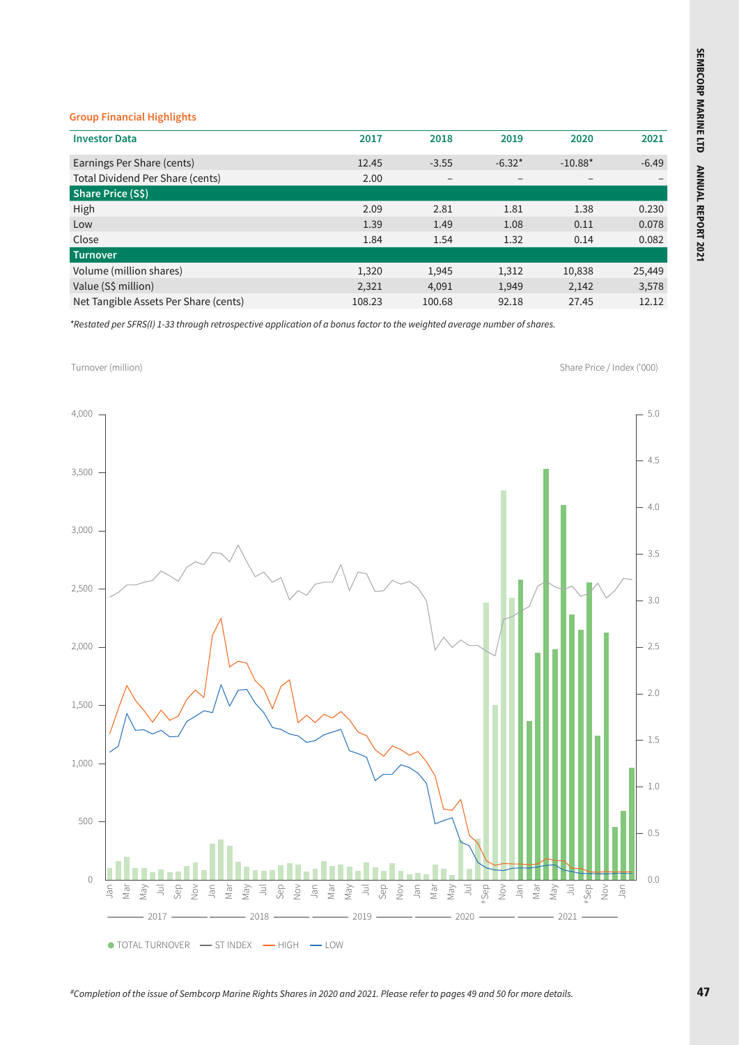# **Group Financial Highlights**

| <b>Investor Data</b>                  | 2017   | 2018                         | 2019     | 2020      | 2021    |
|---------------------------------------|--------|------------------------------|----------|-----------|---------|
| Earnings Per Share (cents)            | 12.45  | $-3.55$                      | $-6.32*$ | $-10.88*$ | $-6.49$ |
| Total Dividend Per Share (cents)      | 2.00   | $\qquad \qquad \blacksquare$ |          |           |         |
| Share Price (S\$)                     |        |                              |          |           |         |
| High                                  | 2.09   | 2.81                         | 1.81     | 1.38      | 0.230   |
| Low                                   | 1.39   | 1.49                         | 1.08     | 0.11      | 0.078   |
| Close                                 | 1.84   | 1.54                         | 1.32     | 0.14      | 0.082   |
| <b>Turnover</b>                       |        |                              |          |           |         |
| Volume (million shares)               | 1,320  | 1,945                        | 1,312    | 10,838    | 25,449  |
| Value (S\$ million)                   | 2,321  | 4,091                        | 1,949    | 2,142     | 3,578   |
| Net Tangible Assets Per Share (cents) | 108.23 | 100.68                       | 92.18    | 27.45     | 12.12   |
|                                       |        |                              |          |           |         |

*\*Restated per SFRS(I) 1-33 through retrospective application of a bonus factor to the weighted average number of shares.*



*#Completion of the issue of Sembcorp Marine Rights Shares in 2020 and 2021. Please refer to pages 49 and 50 for more details.*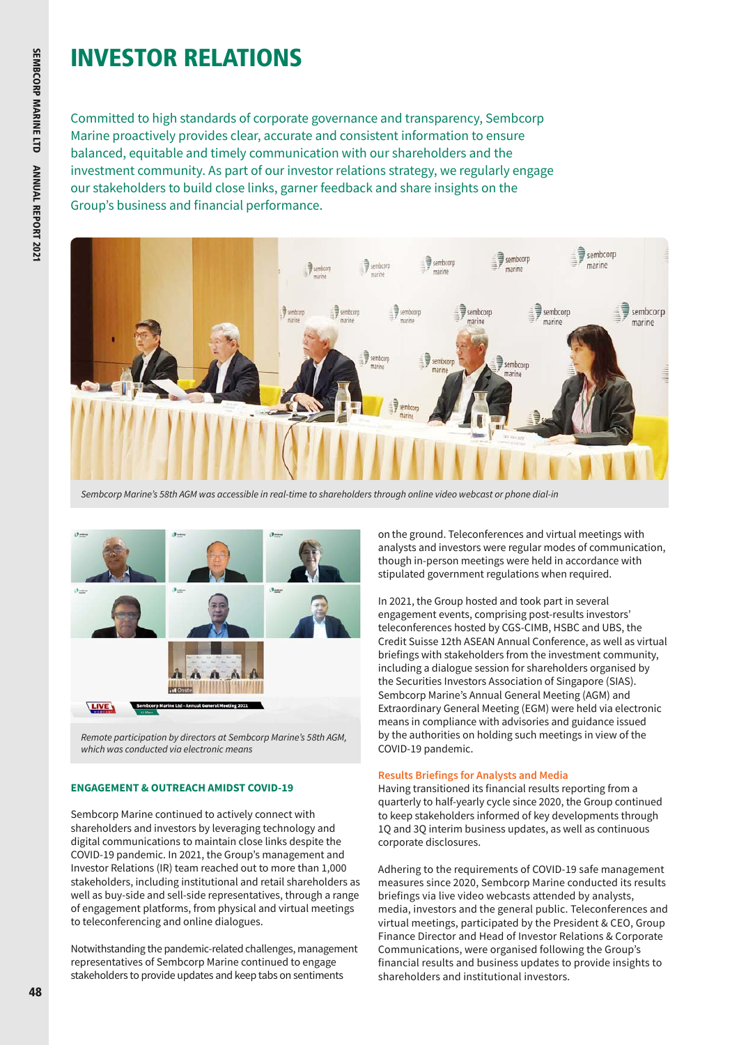# INVESTOR RELATIONS

Committed to high standards of corporate governance and transparency, Sembcorp Marine proactively provides clear, accurate and consistent information to ensure balanced, equitable and timely communication with our shareholders and the investment community. As part of our investor relations strategy, we regularly engage our stakeholders to build close links, garner feedback and share insights on the Group's business and financial performance.





*Remote participation by directors at Sembcorp Marine's 58th AGM, which was conducted via electronic means*

# **ENGAGEMENT & OUTREACH AMIDST COVID-19**

Sembcorp Marine continued to actively connect with shareholders and investors by leveraging technology and digital communications to maintain close links despite the COVID-19 pandemic. In 2021, the Group's management and Investor Relations (IR) team reached out to more than 1,000 stakeholders, including institutional and retail shareholders as well as buy-side and sell-side representatives, through a range of engagement platforms, from physical and virtual meetings to teleconferencing and online dialogues.

Notwithstanding the pandemic-related challenges, management representatives of Sembcorp Marine continued to engage stakeholders to provide updates and keep tabs on sentiments

on the ground. Teleconferences and virtual meetings with analysts and investors were regular modes of communication, though in-person meetings were held in accordance with stipulated government regulations when required.

In 2021, the Group hosted and took part in several engagement events, comprising post-results investors' teleconferences hosted by CGS-CIMB, HSBC and UBS, the Credit Suisse 12th ASEAN Annual Conference, as well as virtual briefings with stakeholders from the investment community, including a dialogue session for shareholders organised by the Securities Investors Association of Singapore (SIAS). Sembcorp Marine's Annual General Meeting (AGM) and Extraordinary General Meeting (EGM) were held via electronic means in compliance with advisories and guidance issued by the authorities on holding such meetings in view of the COVID-19 pandemic.

#### **Results Briefings for Analysts and Media**

Having transitioned its financial results reporting from a quarterly to half-yearly cycle since 2020, the Group continued to keep stakeholders informed of key developments through 1Q and 3Q interim business updates, as well as continuous corporate disclosures.

Adhering to the requirements of COVID-19 safe management measures since 2020, Sembcorp Marine conducted its results briefings via live video webcasts attended by analysts, media, investors and the general public. Teleconferences and virtual meetings, participated by the President & CEO, Group Finance Director and Head of Investor Relations & Corporate Communications, were organised following the Group's financial results and business updates to provide insights to shareholders and institutional investors.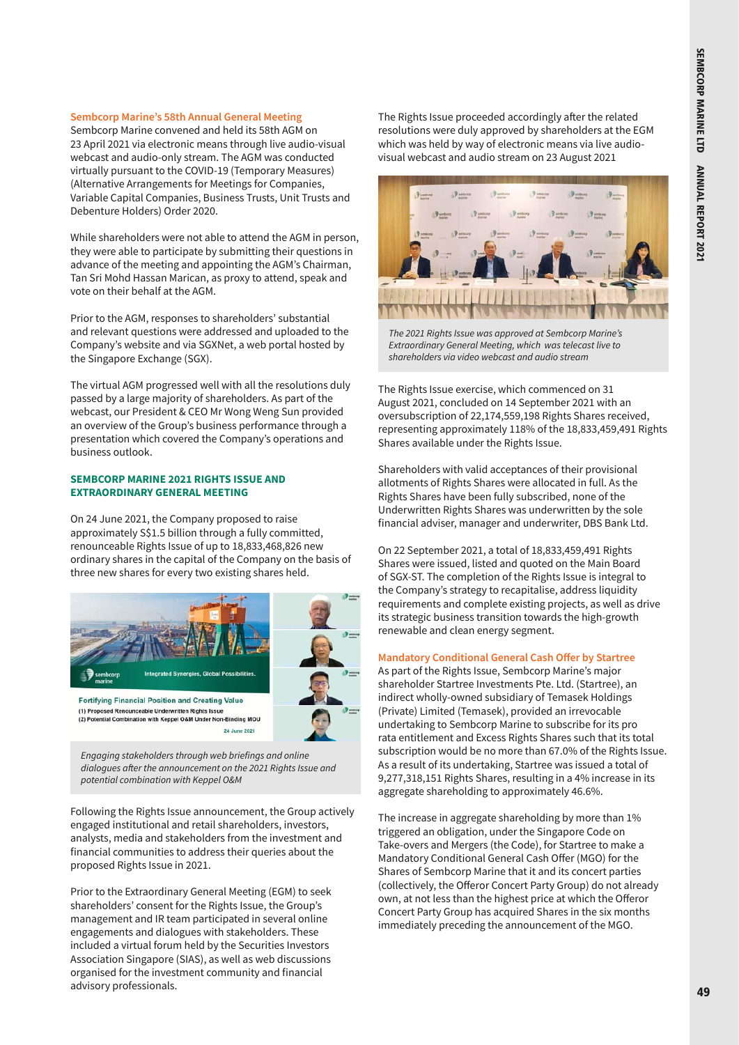#### **Sembcorp Marine's 58th Annual General Meeting**

Sembcorp Marine convened and held its 58th AGM on 23 April 2021 via electronic means through live audio-visual webcast and audio-only stream. The AGM was conducted virtually pursuant to the COVID-19 (Temporary Measures) (Alternative Arrangements for Meetings for Companies, Variable Capital Companies, Business Trusts, Unit Trusts and Debenture Holders) Order 2020.

While shareholders were not able to attend the AGM in person, they were able to participate by submitting their questions in advance of the meeting and appointing the AGM's Chairman, Tan Sri Mohd Hassan Marican, as proxy to attend, speak and vote on their behalf at the AGM.

Prior to the AGM, responses to shareholders' substantial and relevant questions were addressed and uploaded to the Company's website and via SGXNet, a web portal hosted by the Singapore Exchange (SGX).

The virtual AGM progressed well with all the resolutions duly passed by a large majority of shareholders. As part of the webcast, our President & CEO Mr Wong Weng Sun provided an overview of the Group's business performance through a presentation which covered the Company's operations and business outlook.

#### **SEMBCORP MARINE 2021 RIGHTS ISSUE AND EXTRAORDINARY GENERAL MEETING**

On 24 June 2021, the Company proposed to raise approximately S\$1.5 billion through a fully committed, renounceable Rights Issue of up to 18,833,468,826 new ordinary shares in the capital of the Company on the basis of three new shares for every two existing shares held.



*Engaging stakeholders through web briefings and online dialogues after the announcement on the 2021 Rights Issue and potential combination with Keppel O&M* 

Following the Rights Issue announcement, the Group actively engaged institutional and retail shareholders, investors, analysts, media and stakeholders from the investment and financial communities to address their queries about the proposed Rights Issue in 2021.

Prior to the Extraordinary General Meeting (EGM) to seek shareholders' consent for the Rights Issue, the Group's management and IR team participated in several online engagements and dialogues with stakeholders. These included a virtual forum held by the Securities Investors Association Singapore (SIAS), as well as web discussions organised for the investment community and financial advisory professionals.

The Rights Issue proceeded accordingly after the related resolutions were duly approved by shareholders at the EGM which was held by way of electronic means via live audiovisual webcast and audio stream on 23 August 2021



*The 2021 Rights Issue was approved at Sembcorp Marine's Extraordinary General Meeting, which was telecast live to shareholders via video webcast and audio stream*

The Rights Issue exercise, which commenced on 31 August 2021, concluded on 14 September 2021 with an oversubscription of 22,174,559,198 Rights Shares received, representing approximately 118% of the 18,833,459,491 Rights Shares available under the Rights Issue.

Shareholders with valid acceptances of their provisional allotments of Rights Shares were allocated in full. As the Rights Shares have been fully subscribed, none of the Underwritten Rights Shares was underwritten by the sole financial adviser, manager and underwriter, DBS Bank Ltd.

On 22 September 2021, a total of 18,833,459,491 Rights Shares were issued, listed and quoted on the Main Board of SGX-ST. The completion of the Rights Issue is integral to the Company's strategy to recapitalise, address liquidity requirements and complete existing projects, as well as drive its strategic business transition towards the high-growth renewable and clean energy segment.

#### **Mandatory Conditional General Cash Offer by Startree**

As part of the Rights Issue, Sembcorp Marine's major shareholder Startree Investments Pte. Ltd. (Startree), an indirect wholly-owned subsidiary of Temasek Holdings (Private) Limited (Temasek), provided an irrevocable undertaking to Sembcorp Marine to subscribe for its pro rata entitlement and Excess Rights Shares such that its total subscription would be no more than 67.0% of the Rights Issue. As a result of its undertaking, Startree was issued a total of 9,277,318,151 Rights Shares, resulting in a 4% increase in its aggregate shareholding to approximately 46.6%.

The increase in aggregate shareholding by more than 1% triggered an obligation, under the Singapore Code on Take-overs and Mergers (the Code), for Startree to make a Mandatory Conditional General Cash Offer (MGO) for the Shares of Sembcorp Marine that it and its concert parties (collectively, the Offeror Concert Party Group) do not already own, at not less than the highest price at which the Offeror Concert Party Group has acquired Shares in the six months immediately preceding the announcement of the MGO.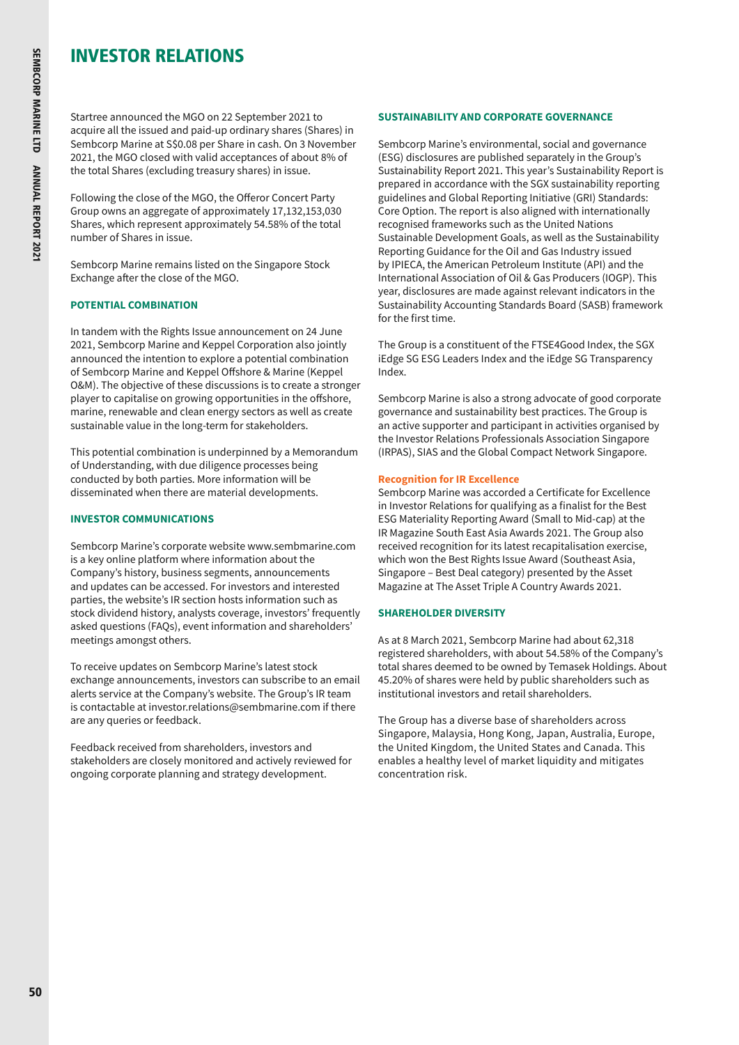# INVESTOR RELATIONS

Startree announced the MGO on 22 September 2021 to acquire all the issued and paid-up ordinary shares (Shares) in Sembcorp Marine at S\$0.08 per Share in cash. On 3 November 2021, the MGO closed with valid acceptances of about 8% of the total Shares (excluding treasury shares) in issue.

Following the close of the MGO, the Offeror Concert Party Group owns an aggregate of approximately 17,132,153,030 Shares, which represent approximately 54.58% of the total number of Shares in issue.

Sembcorp Marine remains listed on the Singapore Stock Exchange after the close of the MGO.

# **POTENTIAL COMBINATION**

In tandem with the Rights Issue announcement on 24 June 2021, Sembcorp Marine and Keppel Corporation also jointly announced the intention to explore a potential combination of Sembcorp Marine and Keppel Offshore & Marine (Keppel O&M). The objective of these discussions is to create a stronger player to capitalise on growing opportunities in the offshore, marine, renewable and clean energy sectors as well as create sustainable value in the long-term for stakeholders.

This potential combination is underpinned by a Memorandum of Understanding, with due diligence processes being conducted by both parties. More information will be disseminated when there are material developments.

# **INVESTOR COMMUNICATIONS**

Sembcorp Marine's corporate website [www.sembmarine.com](https://www.sembmarine.com/)  is a key online platform where information about the Company's history, business segments, announcements and updates can be accessed. For investors and interested parties, the website's IR section hosts information such as stock dividend history, analysts coverage, investors' frequently asked questions (FAQs), event information and shareholders' meetings amongst others.

To receive updates on Sembcorp Marine's latest stock exchange announcements, investors can subscribe to an email alerts service at the Company's website. The Group's IR team is contactable at [investor.relations@sembmarine.com](mailto:investor.relations%40sembmarine.com?subject=) if there are any queries or feedback.

Feedback received from shareholders, investors and stakeholders are closely monitored and actively reviewed for ongoing corporate planning and strategy development.

# **SUSTAINABILITY AND CORPORATE GOVERNANCE**

Sembcorp Marine's environmental, social and governance (ESG) disclosures are published separately in the Group's Sustainability Report 2021. This year's Sustainability Report is prepared in accordance with the SGX sustainability reporting guidelines and Global Reporting Initiative (GRI) Standards: Core Option. The report is also aligned with internationally recognised frameworks such as the United Nations Sustainable Development Goals, as well as the Sustainability Reporting Guidance for the Oil and Gas Industry issued by IPIECA, the American Petroleum Institute (API) and the International Association of Oil & Gas Producers (IOGP). This year, disclosures are made against relevant indicators in the Sustainability Accounting Standards Board (SASB) framework for the first time.

The Group is a constituent of the FTSE4Good Index, the SGX iEdge SG ESG Leaders Index and the iEdge SG Transparency Index.

Sembcorp Marine is also a strong advocate of good corporate governance and sustainability best practices. The Group is an active supporter and participant in activities organised by the Investor Relations Professionals Association Singapore (IRPAS), SIAS and the Global Compact Network Singapore.

# **Recognition for IR Excellence**

Sembcorp Marine was accorded a Certificate for Excellence in Investor Relations for qualifying as a finalist for the Best ESG Materiality Reporting Award (Small to Mid-cap) at the IR Magazine South East Asia Awards 2021. The Group also received recognition for its latest recapitalisation exercise, which won the Best Rights Issue Award (Southeast Asia, Singapore – Best Deal category) presented by the Asset Magazine at The Asset Triple A Country Awards 2021.

# **SHAREHOLDER DIVERSITY**

As at 8 March 2021, Sembcorp Marine had about 62,318 registered shareholders, with about 54.58% of the Company's total shares deemed to be owned by Temasek Holdings. About 45.20% of shares were held by public shareholders such as institutional investors and retail shareholders.

The Group has a diverse base of shareholders across Singapore, Malaysia, Hong Kong, Japan, Australia, Europe, the United Kingdom, the United States and Canada. This enables a healthy level of market liquidity and mitigates concentration risk.